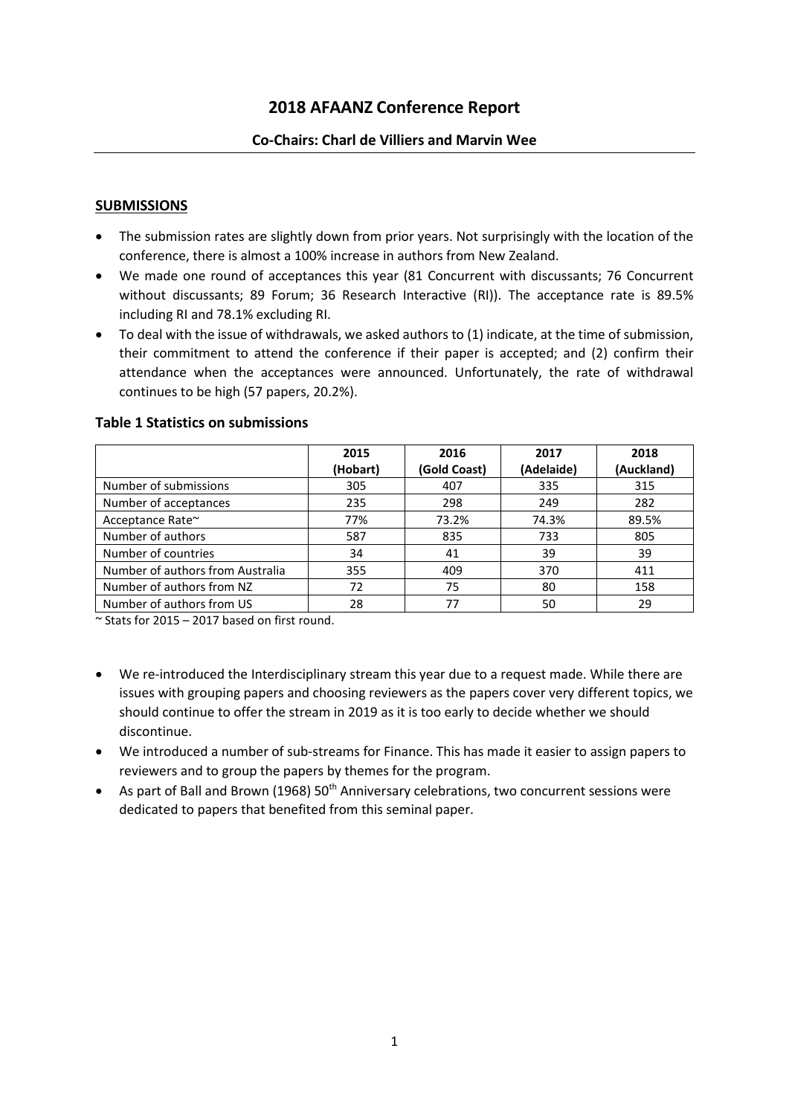# **2018 AFAANZ Conference Report**

#### **Co-Chairs: Charl de Villiers and Marvin Wee**

#### **SUBMISSIONS**

- The submission rates are slightly down from prior years. Not surprisingly with the location of the conference, there is almost a 100% increase in authors from New Zealand.
- We made one round of acceptances this year (81 Concurrent with discussants; 76 Concurrent without discussants; 89 Forum; 36 Research Interactive (RI)). The acceptance rate is 89.5% including RI and 78.1% excluding RI.
- To deal with the issue of withdrawals, we asked authors to (1) indicate, at the time of submission, their commitment to attend the conference if their paper is accepted; and (2) confirm their attendance when the acceptances were announced. Unfortunately, the rate of withdrawal continues to be high (57 papers, 20.2%).

|                                  | 2015     | 2016         | 2017       | 2018       |
|----------------------------------|----------|--------------|------------|------------|
|                                  | (Hobart) | (Gold Coast) | (Adelaide) | (Auckland) |
| Number of submissions            | 305      | 407          | 335        | 315        |
| Number of acceptances            | 235      | 298          | 249        | 282        |
| Acceptance Rate~                 | 77%      | 73.2%        | 74.3%      | 89.5%      |
| Number of authors                | 587      | 835          | 733        | 805        |
| Number of countries              | 34       | 41           | 39         | 39         |
| Number of authors from Australia | 355      | 409          | 370        | 411        |
| Number of authors from NZ        | 72       | 75           | 80         | 158        |
| Number of authors from US        | 28       | 77           | 50         | 29         |

#### **Table 1 Statistics on submissions**

 $\sim$  Stats for 2015 – 2017 based on first round.

- We re-introduced the Interdisciplinary stream this year due to a request made. While there are issues with grouping papers and choosing reviewers as the papers cover very different topics, we should continue to offer the stream in 2019 as it is too early to decide whether we should discontinue.
- We introduced a number of sub-streams for Finance. This has made it easier to assign papers to reviewers and to group the papers by themes for the program.
- As part of Ball and Brown (1968)  $50<sup>th</sup>$  Anniversary celebrations, two concurrent sessions were dedicated to papers that benefited from this seminal paper.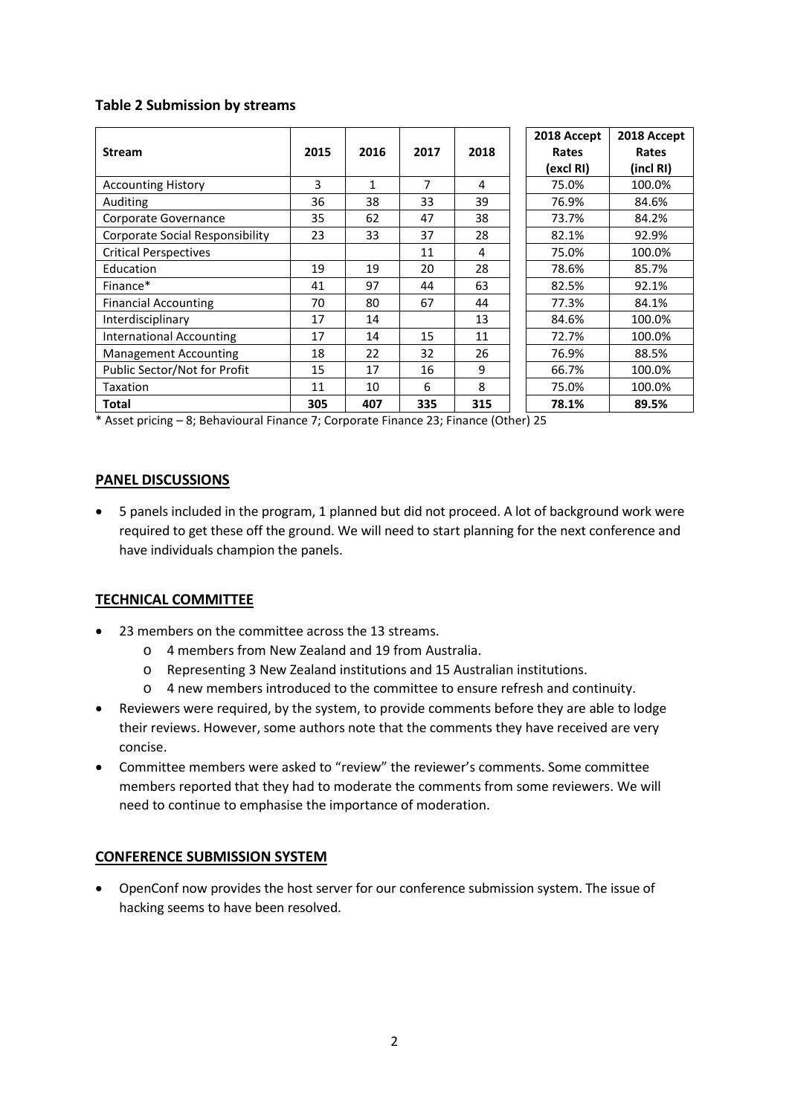### **Table 2 Submission by streams**

|                                        |      |      |      |      | 2018 Accept | 2018 Accept |
|----------------------------------------|------|------|------|------|-------------|-------------|
| <b>Stream</b>                          | 2015 | 2016 | 2017 | 2018 | Rates       | Rates       |
|                                        |      |      |      |      | (excl RI)   | (incl RI)   |
| <b>Accounting History</b>              | 3    | 1    | 7    | 4    | 75.0%       | 100.0%      |
| Auditing                               | 36   | 38   | 33   | 39   | 76.9%       | 84.6%       |
| Corporate Governance                   | 35   | 62   | 47   | 38   | 73.7%       | 84.2%       |
| <b>Corporate Social Responsibility</b> | 23   | 33   | 37   | 28   | 82.1%       | 92.9%       |
| <b>Critical Perspectives</b>           |      |      | 11   | 4    | 75.0%       | 100.0%      |
| Education                              | 19   | 19   | 20   | 28   | 78.6%       | 85.7%       |
| Finance*                               | 41   | 97   | 44   | 63   | 82.5%       | 92.1%       |
| <b>Financial Accounting</b>            | 70   | 80   | 67   | 44   | 77.3%       | 84.1%       |
| Interdisciplinary                      | 17   | 14   |      | 13   | 84.6%       | 100.0%      |
| <b>International Accounting</b>        | 17   | 14   | 15   | 11   | 72.7%       | 100.0%      |
| <b>Management Accounting</b>           | 18   | 22   | 32   | 26   | 76.9%       | 88.5%       |
| Public Sector/Not for Profit           | 15   | 17   | 16   | 9    | 66.7%       | 100.0%      |
| Taxation                               | 11   | 10   | 6    | 8    | 75.0%       | 100.0%      |
| <b>Total</b>                           | 305  | 407  | 335  | 315  | 78.1%       | 89.5%       |

\* Asset pricing – 8; Behavioural Finance 7; Corporate Finance 23; Finance (Other) 25

## **PANEL DISCUSSIONS**

• 5 panels included in the program, 1 planned but did not proceed. A lot of background work were required to get these off the ground. We will need to start planning for the next conference and have individuals champion the panels.

# **TECHNICAL COMMITTEE**

- 23 members on the committee across the 13 streams.
	- o 4 members from New Zealand and 19 from Australia.
	- o Representing 3 New Zealand institutions and 15 Australian institutions.
	- o 4 new members introduced to the committee to ensure refresh and continuity.
- Reviewers were required, by the system, to provide comments before they are able to lodge their reviews. However, some authors note that the comments they have received are very concise.
- Committee members were asked to "review" the reviewer's comments. Some committee members reported that they had to moderate the comments from some reviewers. We will need to continue to emphasise the importance of moderation.

### **CONFERENCE SUBMISSION SYSTEM**

• OpenConf now provides the host server for our conference submission system. The issue of hacking seems to have been resolved.